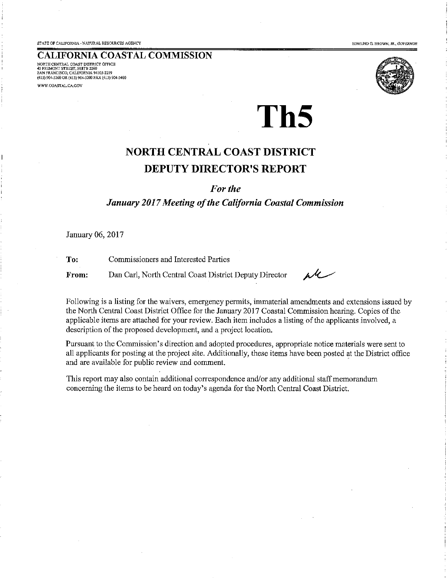**EDMUND G BROWN JR GOVERNOR** 

#### **CALIFORNIA COASTAL COMMISSION**

NORTH CENTRAL COAST DISTRICT OFFICE 45 FREMONT STREET, SUITE 2000 to premori serele, Suee 2000<br>SAN FRANCISCO, CALIFORNIA 94105-2219<br>(415) 904-5260 OR (415) 904-5200 PAX (415) 904-5400 WWW.COASTAL.CA.GOV

# Th<sub>5</sub>

# **NORTH CENTRAL COAST DISTRICT DEPUTY DIRECTOR'S REPORT**

For the

#### January 2017 Meeting of the California Coastal Commission

January 06, 2017

Commissioners and Interested Parties To:

From: Dan Carl, North Central Coast District Deputy Director

r U

Following is a listing for the waivers, emergency permits, immaterial amendments and extensions issued by the North Central Coast District Office for the January 2017 Coastal Commission hearing. Copies of the applicable items are attached for your review. Each item includes a listing of the applicants involved, a description of the proposed development, and a project location.

Pursuant to the Commission's direction and adopted procedures, appropriate notice materials were sent to all applicants for posting at the project site. Additionally, these items have been posted at the District office and are available for public review and comment.

This report may also contain additional correspondence and/or any additional staff memorandum concerning the items to be heard on today's agenda for the North Central Coast District.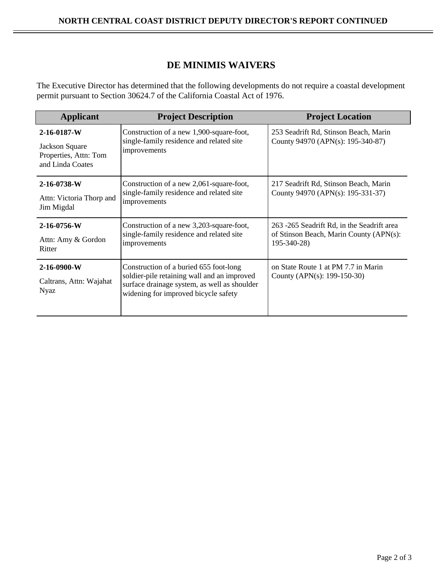## **DE MINIMIS WAIVERS**

The Executive Director has determined that the following developments do not require a coastal development permit pursuant to Section 30624.7 of the California Coastal Act of 1976.

| <b>Applicant</b>                                                                   | <b>Project Description</b>                                                                                                                                                    | <b>Project Location</b>                                                                              |
|------------------------------------------------------------------------------------|-------------------------------------------------------------------------------------------------------------------------------------------------------------------------------|------------------------------------------------------------------------------------------------------|
| $2 - 16 - 0187 - W$<br>Jackson Square<br>Properties, Attn: Tom<br>and Linda Coates | Construction of a new 1,900-square-foot,<br>single-family residence and related site<br>improvements                                                                          | 253 Seadrift Rd, Stinson Beach, Marin<br>County 94970 (APN(s): 195-340-87)                           |
| $2 - 16 - 0738 - W$<br>Attn: Victoria Thorp and<br>Jim Migdal                      | Construction of a new 2,061-square-foot,<br>single-family residence and related site<br>improvements                                                                          | 217 Seadrift Rd, Stinson Beach, Marin<br>County 94970 (APN(s): 195-331-37)                           |
| $2 - 16 - 0756 - W$<br>Attn: Amy & Gordon<br>Ritter                                | Construction of a new 3,203-square-foot,<br>single-family residence and related site<br>improvements                                                                          | 263 -265 Seadrift Rd, in the Seadrift area<br>of Stinson Beach, Marin County (APN(s):<br>195-340-28) |
| $2 - 16 - 0900 - W$<br>Caltrans, Attn: Wajahat<br>Nyaz                             | Construction of a buried 655 foot-long<br>soldier-pile retaining wall and an improved<br>surface drainage system, as well as shoulder<br>widening for improved bicycle safety | on State Route 1 at PM 7.7 in Marin<br>County (APN(s): $199-150-30$ )                                |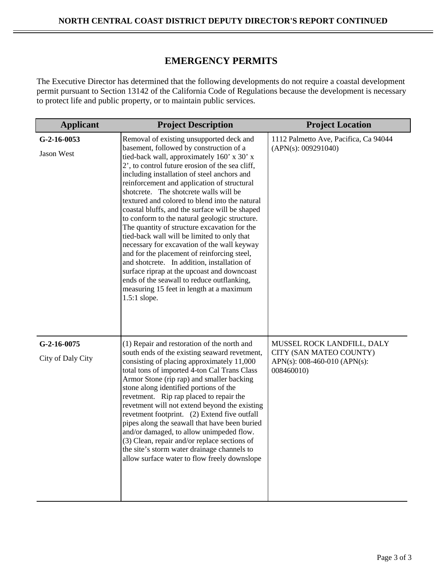## **EMERGENCY PERMITS**

The Executive Director has determined that the following developments do not require a coastal development permit pursuant to Section 13142 of the California Code of Regulations because the development is necessary to protect life and public property, or to maintain public services.

| <b>Applicant</b>                   | <b>Project Description</b>                                                                                                                                                                                                                                                                                                                                                                                                                                                                                                                                                                                                                                                                                                                                                                                                                                                               | <b>Project Location</b>                                                                             |
|------------------------------------|------------------------------------------------------------------------------------------------------------------------------------------------------------------------------------------------------------------------------------------------------------------------------------------------------------------------------------------------------------------------------------------------------------------------------------------------------------------------------------------------------------------------------------------------------------------------------------------------------------------------------------------------------------------------------------------------------------------------------------------------------------------------------------------------------------------------------------------------------------------------------------------|-----------------------------------------------------------------------------------------------------|
| $G-2-16-0053$<br>Jason West        | Removal of existing unsupported deck and<br>basement, followed by construction of a<br>tied-back wall, approximately 160' x 30' x<br>2', to control future erosion of the sea cliff,<br>including installation of steel anchors and<br>reinforcement and application of structural<br>shotcrete. The shotcrete walls will be<br>textured and colored to blend into the natural<br>coastal bluffs, and the surface will be shaped<br>to conform to the natural geologic structure.<br>The quantity of structure excavation for the<br>tied-back wall will be limited to only that<br>necessary for excavation of the wall keyway<br>and for the placement of reinforcing steel,<br>and shotcrete. In addition, installation of<br>surface riprap at the upcoast and downcoast<br>ends of the seawall to reduce outflanking,<br>measuring 15 feet in length at a maximum<br>$1.5:1$ slope. | 1112 Palmetto Ave, Pacifica, Ca 94044<br>(APN(s): 009291040)                                        |
| $G-2-16-0075$<br>City of Daly City | (1) Repair and restoration of the north and<br>south ends of the existing seaward revetment,<br>consisting of placing approximately 11,000<br>total tons of imported 4-ton Cal Trans Class<br>Armor Stone (rip rap) and smaller backing<br>stone along identified portions of the<br>revetment. Rip rap placed to repair the<br>revetment will not extend beyond the existing<br>revetment footprint. (2) Extend five outfall<br>pipes along the seawall that have been buried<br>and/or damaged, to allow unimpeded flow.<br>(3) Clean, repair and/or replace sections of<br>the site's storm water drainage channels to<br>allow surface water to flow freely downslope                                                                                                                                                                                                                | MUSSEL ROCK LANDFILL, DALY<br>CITY (SAN MATEO COUNTY)<br>APN(s): 008-460-010 (APN(s):<br>008460010) |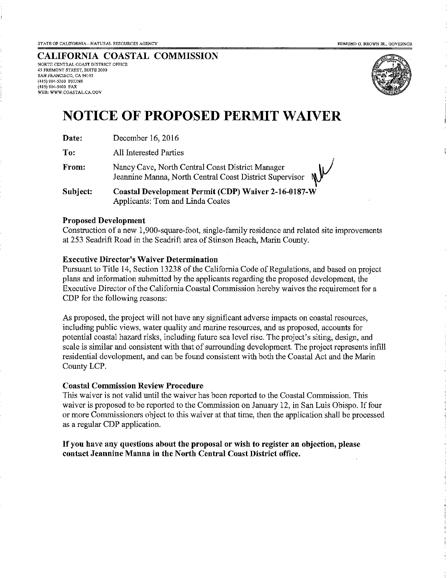#### CALIFORNIA COASTAL COMMISSION NORTH CENTRAL COAST DISTRICT OFFICE

45 FREMONT STREET, SUITE 2000 SAN FRANCISCO, CA 94105 (415) 904-5260 PHONE (415) 904-5400 FAX WEB: WWW.COASTAL.CA.GOV



# **NOTICE OF PROPOSED PERMIT WAIVER**

To: All Interested Parties

From: Nancy Cave, North Central Coast District Manager Jeannine Manna, North Central Coast District Supervisor

**Coastal Development Permit (CDP) Waiver 2-16-0187-W** Subject: Applicants: Tom and Linda Coates

#### **Proposed Development**

Construction of a new 1,900-square-foot, single-family residence and related site improvements at 253 Seadrift Road in the Seadrift area of Stinson Beach, Marin County.

#### **Executive Director's Waiver Determination**

Pursuant to Title 14, Section 13238 of the California Code of Regulations, and based on project plans and information submitted by the applicants regarding the proposed development, the Executive Director of the California Coastal Commission hereby waives the requirement for a CDP for the following reasons:

As proposed, the project will not have any significant adverse impacts on coastal resources. including public views, water quality and marine resources, and as proposed, accounts for potential coastal hazard risks, including future sea level rise. The project's siting, design, and scale is similar and consistent with that of surrounding development. The project represents infill residential development, and can be found consistent with both the Coastal Act and the Marin County LCP.

#### **Coastal Commission Review Procedure**

This waiver is not valid until the waiver has been reported to the Coastal Commission. This waiver is proposed to be reported to the Commission on January 12, in San Luis Obispo. If four or more Commissioners object to this waiver at that time, then the application shall be processed as a regular CDP application.

#### If you have any questions about the proposal or wish to register an objection, please contact Jeannine Manna in the North Central Coast District office.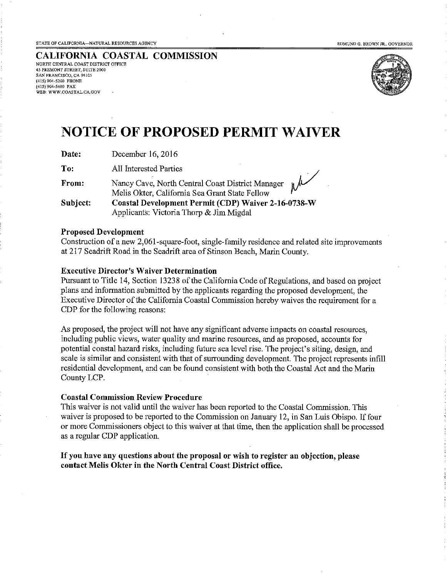EDMUND G. BROWN JR., GOVERNOR

CALIFORNIA COASTAL COMMISSION NORTH CENTRAL COAST DISTRICT OFFICE **45 FREMONT STREET, SUITE 2000** SAN FRANCISCO, CA 94105 (415) 904-5260 PHONE (415) 904-5400 FAX WEB: WWW.COASTAL.CA.GOV



# **NOTICE OF PROPOSED PERMIT WAIVER**

Date: December 16, 2016

To: All Interested Parties

Nancy Cave, North Central Coast District Manager From: Melis Okter, California Sea Grant State Fellow Coastal Development Permit (CDP) Waiver 2-16-0738-W Subject: Applicants: Victoria Thorp & Jim Migdal

#### **Proposed Development**

Construction of a new 2,061-square-foot, single-family residence and related site improvements at 217 Seadrift Road in the Seadrift area of Stinson Beach, Marin County.

#### **Executive Director's Waiver Determination**

Pursuant to Title 14, Section 13238 of the California Code of Regulations, and based on project plans and information submitted by the applicants regarding the proposed development, the Executive Director of the California Coastal Commission hereby waives the requirement for a CDP for the following reasons:

As proposed, the project will not have any significant adverse impacts on coastal resources, including public views, water quality and marine resources, and as proposed, accounts for potential coastal hazard risks, including future sea level rise. The project's siting, design, and scale is similar and consistent with that of surrounding development. The project represents infill residential development, and can be found consistent with both the Coastal Act and the Marin County LCP.

#### **Coastal Commission Review Procedure**

This waiver is not valid until the waiver has been reported to the Coastal Commission. This waiver is proposed to be reported to the Commission on January 12, in San Luis Obispo. If four or more Commissioners object to this waiver at that time, then the application shall be processed as a regular CDP application.

If you have any questions about the proposal or wish to register an objection, please contact Melis Okter in the North Central Coast District office.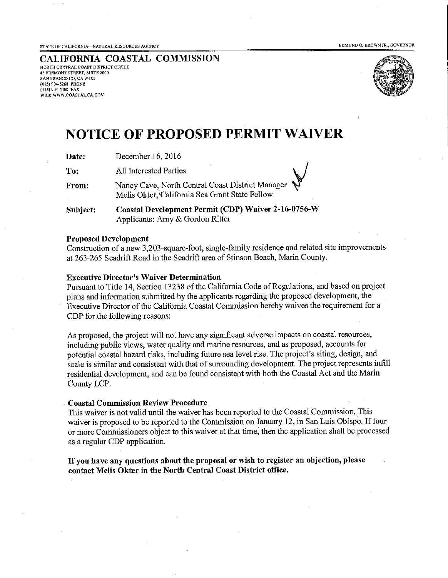STATE OF CALIFORNIA-NATURAL RESOURCES AGENCY

EDMUND G. BROWN JR., GOVERNOR

CALIFORNIA COASTAL COMMISSION NORTH CENTRAL COAST DISTRICT OFFICE 45 FREMONT STREET, SUITE 2000 SAN FRANCISCO, CA 94105 (415) 904-5260 PHONE (415) 904-5400 FAX WEB: WWW.COASTAL.CA.GOV



# **NOTICE OF PROPOSED PERMIT WAIVER**

| December 16, 2016<br>Date: |
|----------------------------|
|----------------------------|

To: All Interested Parties

Nancy Cave, North Central Coast District Manager From: Melis Okter, California Sea Grant State Fellow

Coastal Development Permit (CDP) Waiver 2-16-0756-W Subject: Applicants: Amy & Gordon Ritter

#### **Proposed Development**

Construction of a new 3,203-square-foot, single-family residence and related site improvements at 263-265 Seadrift Road in the Seadrift area of Stinson Beach, Marin County.

#### **Executive Director's Waiver Determination**

Pursuant to Title 14, Section 13238 of the California Code of Regulations, and based on project plans and information submitted by the applicants regarding the proposed development, the Executive Director of the California Coastal Commission hereby waives the requirement for a CDP for the following reasons:

As proposed, the project will not have any significant adverse impacts on coastal resources, including public views, water quality and marine resources, and as proposed, accounts for potential coastal hazard risks, including future sea level rise. The project's siting, design, and scale is similar and consistent with that of surrounding development. The project represents infill residential development, and can be found consistent with both the Coastal Act and the Marin County LCP.

#### **Coastal Commission Review Procedure**

This waiver is not valid until the waiver has been reported to the Coastal Commission. This waiver is proposed to be reported to the Commission on January 12, in San Luis Obispo. If four or more Commissioners object to this waiver at that time, then the application shall be processed as a regular CDP application.

If you have any questions about the proposal or wish to register an objection, please contact Melis Okter in the North Central Coast District office.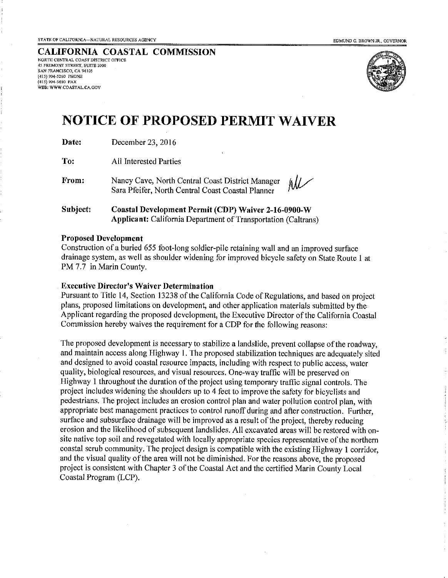**CALIFORNIA COASTAL COMMISSION** NORTH CENTRAL COAST DISTRICT OFFICE 45 FREMONT STREET, SUITE 2000 SAN FRANCISCO, CA 94105 (415) 904-5260 PHONE (415) 904-5400 FAX WEB: WWW.COASTAL.CA.GOV



# **NOTICE OF PROPOSED PERMIT WAIVER**

Date: December 23, 2016

To: **All Interested Parties** 

From: Nancy Cave, North Central Coast District Manager Sara Pfeifer, North Central Coast Coastal Planner

Subject: **Coastal Development Permit (CDP) Waiver 2-16-0900-W Applicant:** California Department of Transportation (Caltrans)

#### **Proposed Development**

Construction of a buried 655 foot-long soldier-pile retaining wall and an improved surface drainage system, as well as shoulder widening for improved bicycle safety on State Route 1 at PM 7.7 in Marin County.

#### **Executive Director's Waiver Determination**

Pursuant to Title 14, Section 13238 of the California Code of Regulations, and based on project plans, proposed limitations on development, and other application materials submitted by the Applicant regarding the proposed development, the Executive Director of the California Coastal Commission hereby waives the requirement for a CDP for the following reasons:

The proposed development is necessary to stabilize a landslide, prevent collapse of the roadway, and maintain access along Highway 1. The proposed stabilization techniques are adequately sited and designed to avoid coastal resource impacts, including with respect to public access, water quality, biological resources, and visual resources. One-way traffic will be preserved on Highway 1 throughout the duration of the project using temporary traffic signal controls. The project includes widening the shoulders up to 4 feet to improve the safety for bicyclists and pedestrians. The project includes an erosion control plan and water pollution control plan, with appropriate best management practices to control runoff during and after construction. Further, surface and subsurface drainage will be improved as a result of the project, thereby reducing erosion and the likelihood of subsequent landslides. All excavated areas will be restored with onsite native top soil and revegetated with locally appropriate species representative of the northern coastal scrub community. The project design is compatible with the existing Highway 1 corridor, and the visual quality of the area will not be diminished. For the reasons above, the proposed project is consistent with Chapter 3 of the Coastal Act and the certified Marin County Local Coastal Program (LCP).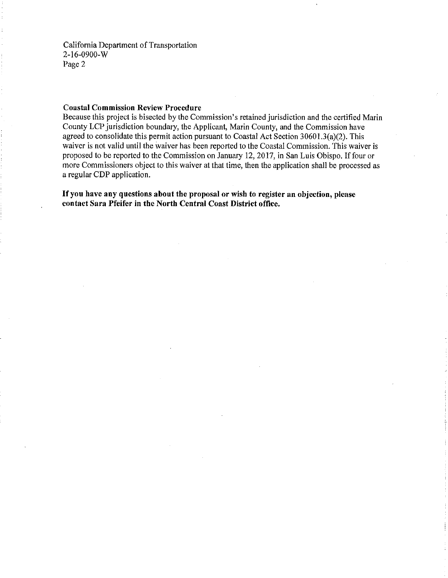California Department of Transportation  $2 - 16 - 0900 - W$ Page 2

#### **Coastal Commission Review Procedure**

Because this project is bisected by the Commission's retained jurisdiction and the certified Marin County LCP jurisdiction boundary, the Applicant, Marin County, and the Commission have agreed to consolidate this permit action pursuant to Coastal Act Section 30601.3(a)(2). This waiver is not valid until the waiver has been reported to the Coastal Commission. This waiver is proposed to be reported to the Commission on January 12, 2017, in San Luis Obispo. If four or more Commissioners object to this waiver at that time, then the application shall be processed as a regular CDP application.

If you have any questions about the proposal or wish to register an objection, please contact Sara Pfeifer in the North Central Coast District office.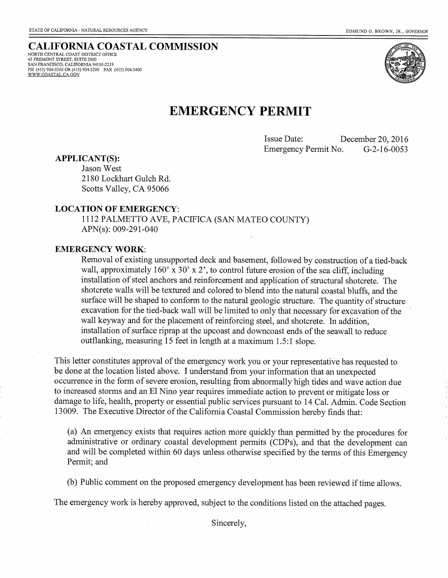#### **CALIFORNIA COASTAL COMMISSION** NORTH CENTRAL COAST DISTRICT OFFICE

45 FREMONT STREET, SUITE 2000<br>SAN FRANCISCO, CALIFORNIA 94105-2219 PH (415) 904-5260 OR (415) 904-5200 FAX (415) 904-5400 WWW.COASTAL.CA.GOV



## **EMERGENCY PERMIT**

Issue Date: December 20, 2016 Emergency Permit No.  $G-2-16-0053$ 

**APPLICANT(S):** 

Jason West 2180 Lockhart Gulch Rd. Scotts Valley, CA 95066

#### **LOCATION OF EMERGENCY:**

1112 PALMETTO AVE, PACIFICA (SAN MATEO COUNTY) APN(s): 009-291-040

#### **EMERGENCY WORK:**

Removal of existing unsupported deck and basement, followed by construction of a tied-back wall, approximately 160' x  $30'$  x 2', to control future erosion of the sea cliff, including installation of steel anchors and reinforcement and application of structural shotcrete. The shotcrete walls will be textured and colored to blend into the natural coastal bluffs, and the surface will be shaped to conform to the natural geologic structure. The quantity of structure excavation for the tied-back wall will be limited to only that necessary for excavation of the wall keyway and for the placement of reinforcing steel, and shotcrete. In addition, installation of surface riprap at the upcoast and downcoast ends of the seawall to reduce outflanking, measuring 15 feet in length at a maximum 1.5:1 slope.

This letter constitutes approval of the emergency work you or your representative has requested to be done at the location listed above. I understand from your information that an unexpected occurrence in the form of severe erosion, resulting from abnormally high tides and wave action due to increased storms and an El Nino year requires immediate action to prevent or mitigate loss or damage to life, health, property or essential public services pursuant to 14 Cal. Admin. Code Section 13009. The Executive Director of the California Coastal Commission hereby finds that:

(a) An emergency exists that requires action more quickly than permitted by the procedures for administrative or ordinary coastal development permits (CDPs), and that the development can and will be completed within 60 days unless otherwise specified by the terms of this Emergency Permit; and

(b) Public comment on the proposed emergency development has been reviewed if time allows.

The emergency work is hereby approved, subject to the conditions listed on the attached pages.

Sincerely,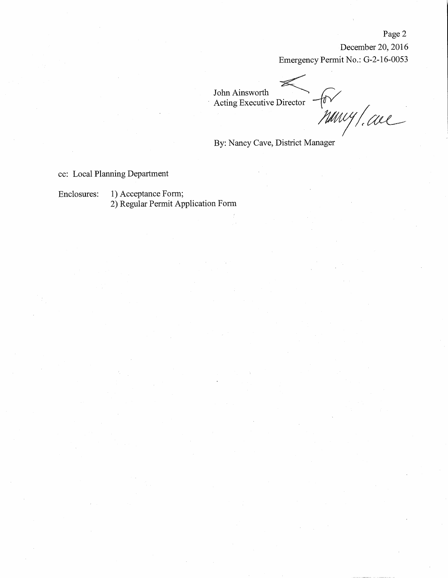December 20, 2016 Emergency Permit No.: G-2-16-0053

John Ainsworth  $f_0 \vee$ <br>Marry / call Acting Executive Director <sup>-</sup>

By: Nancy Cave, District Manager

cc: Local Planning Department

1) Acceptance Form; Enclosures: 2) Regular Permit Application Form

### Page 2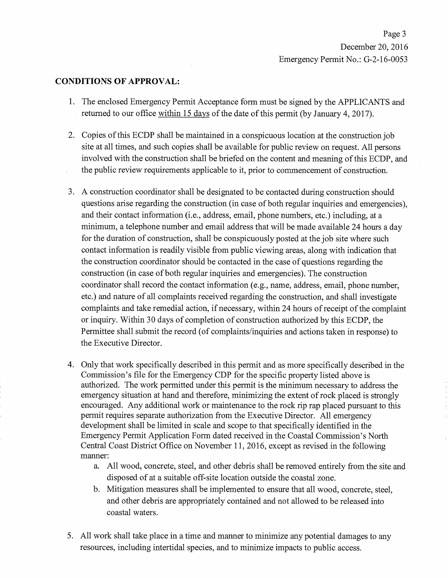Page 3 December 20, 2016 Emergency Permit No.: G-2-16-0053

#### **CONDITIONS OF APPROVAL:**

- 1. The enclosed Emergency Permit Acceptance form must be signed by the APPLICANTS and returned to our office within 15 days of the date of this permit (by January 4, 2017).
- 2. Copies of this ECDP shall be maintained in a conspicuous location at the construction job site at all times, and such copies shall be available for public review on request. All persons involved with the construction shall be briefed on the content and meaning of this ECDP, and the public review requirements applicable to it, prior to commencement of construction.
- 3. A construction coordinator shall be designated to be contacted during construction should questions arise regarding the construction (in case of both regular inquiries and emergencies). and their contact information (i.e., address, email, phone numbers, etc.) including, at a minimum, a telephone number and email address that will be made available 24 hours a day for the duration of construction, shall be conspicuously posted at the job site where such contact information is readily visible from public viewing areas, along with indication that the construction coordinator should be contacted in the case of questions regarding the construction (in case of both regular inquiries and emergencies). The construction coordinator shall record the contact information (e.g., name, address, email, phone number, etc.) and nature of all complaints received regarding the construction, and shall investigate complaints and take remedial action, if necessary, within 24 hours of receipt of the complaint or inquiry. Within 30 days of completion of construction authorized by this ECDP, the Permittee shall submit the record (of complaints/inquiries and actions taken in response) to the Executive Director.
- 4. Only that work specifically described in this permit and as more specifically described in the Commission's file for the Emergency CDP for the specific property listed above is authorized. The work permitted under this permit is the minimum necessary to address the emergency situation at hand and therefore, minimizing the extent of rock placed is strongly encouraged. Any additional work or maintenance to the rock rip rap placed pursuant to this permit requires separate authorization from the Executive Director. All emergency development shall be limited in scale and scope to that specifically identified in the Emergency Permit Application Form dated received in the Coastal Commission's North Central Coast District Office on November 11, 2016, except as revised in the following manner:
	- a. All wood, concrete, steel, and other debris shall be removed entirely from the site and disposed of at a suitable off-site location outside the coastal zone.
	- b. Mitigation measures shall be implemented to ensure that all wood, concrete, steel, and other debris are appropriately contained and not allowed to be released into coastal waters.
- 5. All work shall take place in a time and manner to minimize any potential damages to any resources, including intertidal species, and to minimize impacts to public access.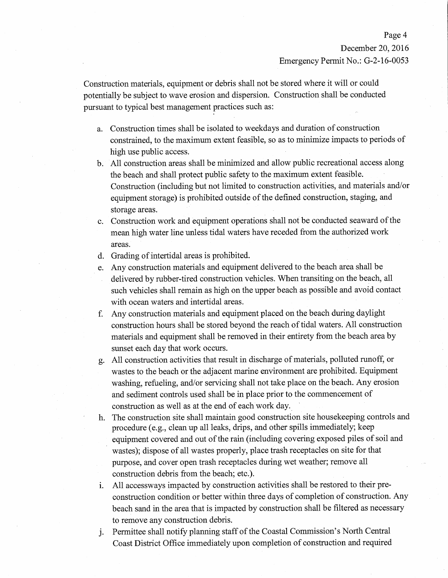Construction materials, equipment or debris shall not be stored where it will or could potentially be subject to wave erosion and dispersion. Construction shall be conducted pursuant to typical best management practices such as:

- a. Construction times shall be isolated to weekdays and duration of construction constrained, to the maximum extent feasible, so as to minimize impacts to periods of high use public access.
- b. All construction areas shall be minimized and allow public recreational access along the beach and shall protect public safety to the maximum extent feasible. Construction (including but not limited to construction activities, and materials and/or equipment storage) is prohibited outside of the defined construction, staging, and storage areas.
- c. Construction work and equipment operations shall not be conducted seaward of the mean high water line unless tidal waters have receded from the authorized work areas.
- d. Grading of intertidal areas is prohibited.
- e. Any construction materials and equipment delivered to the beach area shall be delivered by rubber-tired construction vehicles. When transiting on the beach, all such vehicles shall remain as high on the upper beach as possible and avoid contact with ocean waters and intertidal areas.
- f. Any construction materials and equipment placed on the beach during daylight construction hours shall be stored beyond the reach of tidal waters. All construction materials and equipment shall be removed in their entirety from the beach area by sunset each day that work occurs.
- g. All construction activities that result in discharge of materials, polluted runoff, or wastes to the beach or the adjacent marine environment are prohibited. Equipment washing, refueling, and/or servicing shall not take place on the beach. Any erosion and sediment controls used shall be in place prior to the commencement of construction as well as at the end of each work day.
- h. The construction site shall maintain good construction site house keeping controls and procedure (e.g., clean up all leaks, drips, and other spills immediately; keep equipment covered and out of the rain (including covering exposed piles of soil and wastes); dispose of all wastes properly, place trash receptacles on site for that purpose, and cover open trash receptacles during wet weather; remove all construction debris from the beach; etc.).
- All accessways impacted by construction activities shall be restored to their pre- $\mathbf{i}$ . construction condition or better within three days of completion of construction. Any beach sand in the area that is impacted by construction shall be filtered as necessary to remove any construction debris.
- Permittee shall notify planning staff of the Coastal Commission's North Central j. Coast District Office immediately upon completion of construction and required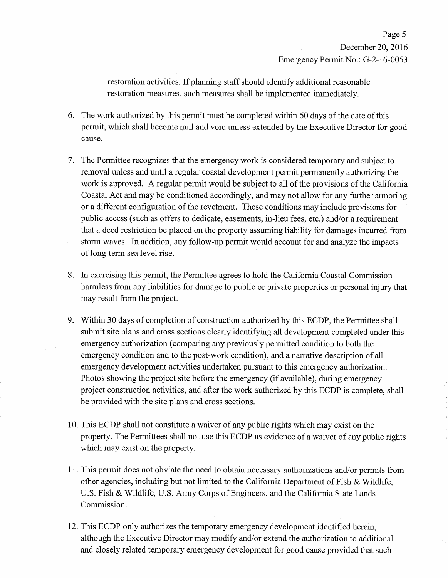restoration activities. If planning staff should identify additional reasonable restoration measures, such measures shall be implemented immediately.

- 6. The work authorized by this permit must be completed within 60 days of the date of this permit, which shall become null and void unless extended by the Executive Director for good cause.
- 7. The Permittee recognizes that the emergency work is considered temporary and subject to removal unless and until a regular coastal development permit permanently authorizing the work is approved. A regular permit would be subject to all of the provisions of the California Coastal Act and may be conditioned accordingly, and may not allow for any further armoring or a different configuration of the revetment. These conditions may include provisions for public access (such as offers to dedicate, easements, in-lieu fees, etc.) and/or a requirement that a deed restriction be placed on the property assuming liability for damages incurred from storm waves. In addition, any follow-up permit would account for and analyze the impacts of long-term sea level rise.
- 8. In exercising this permit, the Permittee agrees to hold the California Coastal Commission harmless from any liabilities for damage to public or private properties or personal injury that may result from the project.
- 9. Within 30 days of completion of construction authorized by this ECDP, the Permittee shall submit site plans and cross sections clearly identifying all development completed under this emergency authorization (comparing any previously permitted condition to both the emergency condition and to the post-work condition), and a narrative description of all emergency development activities undertaken pursuant to this emergency authorization. Photos showing the project site before the emergency (if available), during emergency project construction activities, and after the work authorized by this ECDP is complete, shall be provided with the site plans and cross sections.
- 10. This ECDP shall not constitute a waiver of any public rights which may exist on the property. The Permittees shall not use this ECDP as evidence of a waiver of any public rights which may exist on the property.
- 11. This permit does not obviate the need to obtain necessary authorizations and/or permits from other agencies, including but not limited to the California Department of Fish & Wildlife, U.S. Fish & Wildlife, U.S. Army Corps of Engineers, and the California State Lands Commission.
- 12. This ECDP only authorizes the temporary emergency development identified herein, although the Executive Director may modify and/or extend the authorization to additional and closely related temporary emergency development for good cause provided that such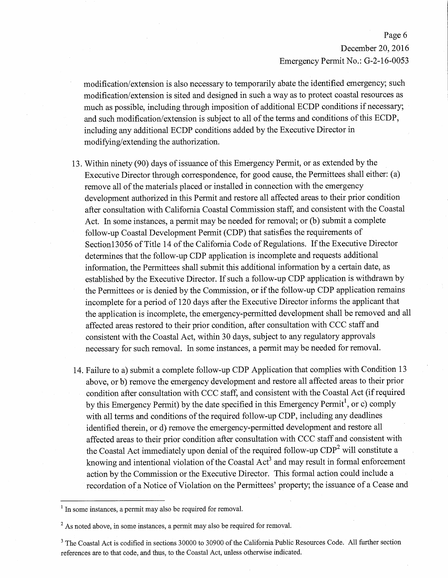## Page 6 December 20, 2016 Emergency Permit No.: G-2-16-0053

modification/extension is also necessary to temporarily abate the identified emergency; such modification/extension is sited and designed in such a way as to protect coastal resources as much as possible, including through imposition of additional ECDP conditions if necessary; and such modification/extension is subject to all of the terms and conditions of this ECDP, including any additional ECDP conditions added by the Executive Director in modifying/extending the authorization.

- 13. Within ninety (90) days of issuance of this Emergency Permit, or as extended by the Executive Director through correspondence, for good cause, the Permittees shall either: (a) remove all of the materials placed or installed in connection with the emergency development authorized in this Permit and restore all affected areas to their prior condition after consultation with California Coastal Commission staff, and consistent with the Coastal Act. In some instances, a permit may be needed for removal; or (b) submit a complete follow-up Coastal Development Permit (CDP) that satisfies the requirements of Section 13056 of Title 14 of the California Code of Regulations. If the Executive Director determines that the follow-up CDP application is incomplete and requests additional information, the Permittees shall submit this additional information by a certain date, as established by the Executive Director. If such a follow-up CDP application is withdrawn by the Permittees or is denied by the Commission, or if the follow-up CDP application remains incomplete for a period of 120 days after the Executive Director informs the applicant that the application is incomplete, the emergency-permitted development shall be removed and all affected areas restored to their prior condition, after consultation with CCC staff and consistent with the Coastal Act, within 30 days, subject to any regulatory approvals necessary for such removal. In some instances, a permit may be needed for removal.
- 14. Failure to a) submit a complete follow-up CDP Application that complies with Condition 13 above, or b) remove the emergency development and restore all affected areas to their prior condition after consultation with CCC staff, and consistent with the Coastal Act (if required by this Emergency Permit) by the date specified in this Emergency Permit<sup>1</sup>, or c) comply with all terms and conditions of the required follow-up CDP, including any deadlines identified therein, or d) remove the emergency-permitted development and restore all affected areas to their prior condition after consultation with CCC staff and consistent with the Coastal Act immediately upon denial of the required follow-up CDP<sup>2</sup> will constitute a knowing and intentional violation of the Coastal Act<sup>3</sup> and may result in formal enforcement action by the Commission or the Executive Director. This formal action could include a recordation of a Notice of Violation on the Permittees' property; the issuance of a Cease and

<sup>&</sup>lt;sup>1</sup> In some instances, a permit may also be required for removal.

 $2\text{ As noted above, in some instances, a permit may also be required for removal.}$ 

<sup>&</sup>lt;sup>3</sup> The Coastal Act is codified in sections 30000 to 30900 of the California Public Resources Code. All further section references are to that code, and thus, to the Coastal Act, unless otherwise indicated.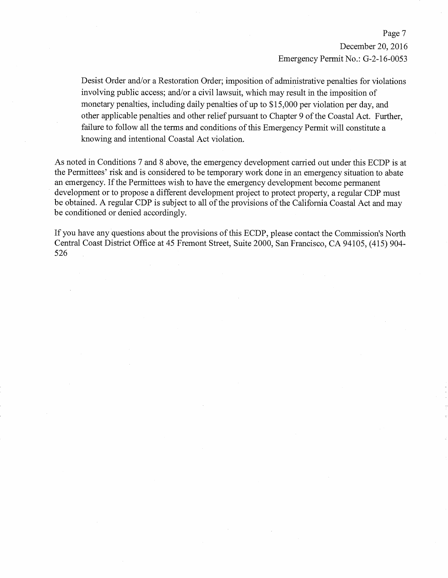Page 7 December 20, 2016 Emergency Permit No.: G-2-16-0053

Desist Order and/or a Restoration Order; imposition of administrative penalties for violations involving public access; and/or a civil lawsuit, which may result in the imposition of monetary penalties, including daily penalties of up to \$15,000 per violation per day, and other applicable penalties and other relief pursuant to Chapter 9 of the Coastal Act. Further, failure to follow all the terms and conditions of this Emergency Permit will constitute a knowing and intentional Coastal Act violation.

As noted in Conditions 7 and 8 above, the emergency development carried out under this ECDP is at the Permittees' risk and is considered to be temporary work done in an emergency situation to abate an emergency. If the Permittees wish to have the emergency development become permanent development or to propose a different development project to protect property, a regular CDP must be obtained. A regular CDP is subject to all of the provisions of the California Coastal Act and may be conditioned or denied accordingly.

If you have any questions about the provisions of this ECDP, please contact the Commission's North Central Coast District Office at 45 Fremont Street, Suite 2000, San Francisco, CA 94105, (415) 904-526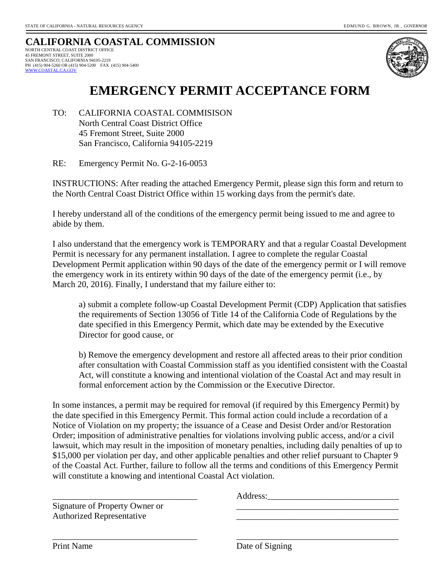#### **CALIFORNIA COASTAL COMMISSION**  NORTH CENTRAL COAST DISTRICT OFFICE 45 FREMONT STREET, SUITE 2000 SAN FRANCISCO, CALIFORNIA 94105-2219 PH (415) 904-5260 OR (415) 904-5200 FAX (415) 904-5400  [WWW.COASTAL.CA.GOV](http://www.coastal.ca.gov/)



# **EMERGENCY PERMIT ACCEPTANCE FORM**

TO: CALIFORNIA COASTAL COMMISISON North Central Coast District Office 45 Fremont Street, Suite 2000 San Francisco, California 94105-2219

RE: Emergency Permit No. G-2-16-0053

INSTRUCTIONS: After reading the attached Emergency Permit, please sign this form and return to the North Central Coast District Office within 15 working days from the permit's date.

I hereby understand all of the conditions of the emergency permit being issued to me and agree to abide by them.

I also understand that the emergency work is TEMPORARY and that a regular Coastal Development Permit is necessary for any permanent installation. I agree to complete the regular Coastal Development Permit application within 90 days of the date of the emergency permit or I will remove the emergency work in its entirety within 90 days of the date of the emergency permit (i.e., by March 20, 2016). Finally, I understand that my failure either to:

a) submit a complete follow-up Coastal Development Permit (CDP) Application that satisfies the requirements of Section 13056 of Title 14 of the California Code of Regulations by the date specified in this Emergency Permit, which date may be extended by the Executive Director for good cause, or

b) Remove the emergency development and restore all affected areas to their prior condition after consultation with Coastal Commission staff as you identified consistent with the Coastal Act, will constitute a knowing and intentional violation of the Coastal Act and may result in formal enforcement action by the Commission or the Executive Director.

In some instances, a permit may be required for removal (if required by this Emergency Permit) by the date specified in this Emergency Permit. This formal action could include a recordation of a Notice of Violation on my property; the issuance of a Cease and Desist Order and/or Restoration Order; imposition of administrative penalties for violations involving public access, and/or a civil lawsuit, which may result in the imposition of monetary penalties, including daily penalties of up to \$15,000 per violation per day, and other applicable penalties and other relief pursuant to Chapter 9 of the Coastal Act. Further, failure to follow all the terms and conditions of this Emergency Permit will constitute a knowing and intentional Coastal Act violation.

\_\_\_\_\_\_\_\_\_\_\_\_\_\_\_\_\_\_\_\_\_\_\_\_\_\_\_\_\_\_\_\_\_ \_\_\_\_\_\_\_\_\_\_\_\_\_\_\_\_\_\_\_\_\_\_\_\_\_\_\_\_\_\_\_\_\_\_\_\_\_

\_\_\_\_\_\_\_\_\_\_\_\_\_\_\_\_\_\_\_\_\_\_\_\_\_\_\_\_\_\_\_\_\_ Address:\_\_\_\_\_\_\_\_\_\_\_\_\_\_\_\_\_\_\_\_\_\_\_\_\_\_\_\_\_\_

Signature of Property Owner or Authorized Representative

Print Name Date of Signing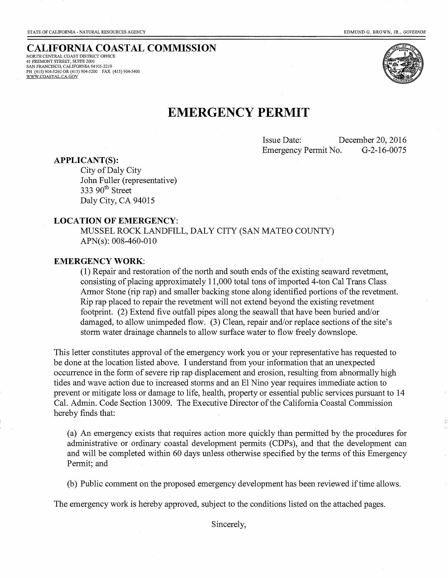## **CALIFORNIA COASTAL COMMISSION**

NORTH CENTRAL COAST DISTRICT OFFICE 45 FREMONT STREET, SUITE 2000<br>SAN FRANCISCO, CALIFORNIA 94105-2219 PH (415) 904-5260 OR (415) 904-5200 FAX (415) 904-5400 WWW.COASTAL.CA.GOV



## **EMERGENCY PERMIT**

**Issue Date:** December 20, 2016 G-2-16-0075 Emergency Permit No.

#### **APPLICANT(S):**

City of Daly City John Fuller (representative) 333 90<sup>th</sup> Street Daly City, CA 94015

#### **LOCATION OF EMERGENCY:**

MUSSEL ROCK LANDFILL, DALY CITY (SAN MATEO COUNTY)  $APN(s)$ : 008-460-010

#### **EMERGENCY WORK:**

(1) Repair and restoration of the north and south ends of the existing seaward revetment, consisting of placing approximately 11,000 total tons of imported 4-ton Cal Trans Class Armor Stone (rip rap) and smaller backing stone along identified portions of the revetment. Rip rap placed to repair the revetment will not extend beyond the existing revetment footprint. (2) Extend five outfall pipes along the seawall that have been buried and/or damaged, to allow unimpeded flow. (3) Clean, repair and/or replace sections of the site's storm water drainage channels to allow surface water to flow freely downslope.

This letter constitutes approval of the emergency work you or your representative has requested to be done at the location listed above. I understand from your information that an unexpected occurrence in the form of severe rip rap displacement and erosion, resulting from abnormally high tides and wave action due to increased storms and an El Nino year requires immediate action to prevent or mitigate loss or damage to life, health, property or essential public services pursuant to 14 Cal. Admin. Code Section 13009. The Executive Director of the California Coastal Commission hereby finds that:

(a) An emergency exists that requires action more quickly than permitted by the procedures for administrative or ordinary coastal development permits (CDPs), and that the development can and will be completed within 60 days unless otherwise specified by the terms of this Emergency Permit; and

(b) Public comment on the proposed emergency development has been reviewed if time allows.

The emergency work is hereby approved, subject to the conditions listed on the attached pages.

Sincerely.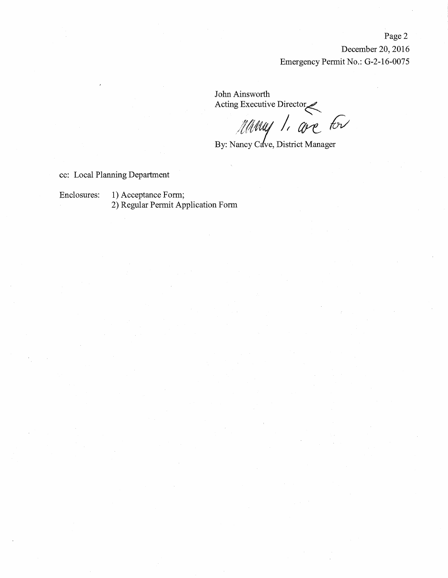Page 2

December 20, 2016 Emergency Permit No.: G-2-16-0075

John Ainsworth Acting Executive Director

Manus 1. are for

By: Nancy Cave, District Manager

cc: Local Planning Department

Enclosures: 1) Acceptance Form; 2) Regular Permit Application Form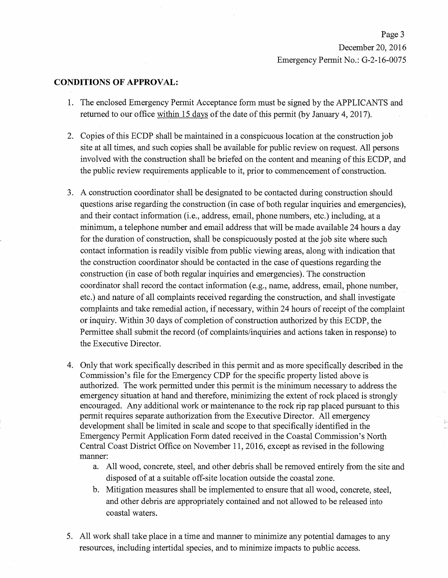Page 3 December 20, 2016 Emergency Permit No.: G-2-16-0075

#### **CONDITIONS OF APPROVAL:**

- 1. The enclosed Emergency Permit Acceptance form must be signed by the APPLICANTS and returned to our office within 15 days of the date of this permit (by January 4, 2017).
- 2. Copies of this ECDP shall be maintained in a conspicuous location at the construction job site at all times, and such copies shall be available for public review on request. All persons involved with the construction shall be briefed on the content and meaning of this ECDP, and the public review requirements applicable to it, prior to commencement of construction.
- 3. A construction coordinator shall be designated to be contacted during construction should questions arise regarding the construction (in case of both regular inquiries and emergencies). and their contact information (i.e., address, email, phone numbers, etc.) including, at a minimum, a telephone number and email address that will be made available 24 hours a day for the duration of construction, shall be conspicuously posted at the job site where such contact information is readily visible from public viewing areas, along with indication that the construction coordinator should be contacted in the case of questions regarding the construction (in case of both regular inquiries and emergencies). The construction coordinator shall record the contact information (e.g., name, address, email, phone number, etc.) and nature of all complaints received regarding the construction, and shall investigate complaints and take remedial action, if necessary, within 24 hours of receipt of the complaint or inquiry. Within 30 days of completion of construction authorized by this ECDP, the Permittee shall submit the record (of complaints/inquiries and actions taken in response) to the Executive Director.
- 4. Only that work specifically described in this permit and as more specifically described in the Commission's file for the Emergency CDP for the specific property listed above is authorized. The work permitted under this permit is the minimum necessary to address the emergency situation at hand and therefore, minimizing the extent of rock placed is strongly encouraged. Any additional work or maintenance to the rock rip rap placed pursuant to this permit requires separate authorization from the Executive Director. All emergency development shall be limited in scale and scope to that specifically identified in the Emergency Permit Application Form dated received in the Coastal Commission's North Central Coast District Office on November 11, 2016, except as revised in the following manner:
	- a. All wood, concrete, steel, and other debris shall be removed entirely from the site and disposed of at a suitable off-site location outside the coastal zone.
	- b. Mitigation measures shall be implemented to ensure that all wood, concrete, steel, and other debris are appropriately contained and not allowed to be released into coastal waters.
- 5. All work shall take place in a time and manner to minimize any potential damages to any resources, including intertidal species, and to minimize impacts to public access.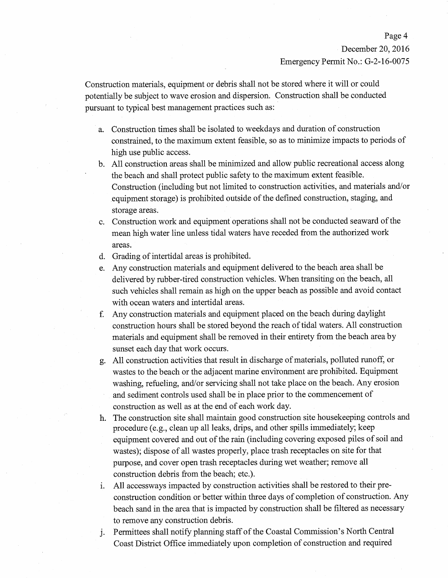#### Page 4

December 20, 2016

Emergency Permit No.: G-2-16-0075

Construction materials, equipment or debris shall not be stored where it will or could potentially be subject to wave erosion and dispersion. Construction shall be conducted pursuant to typical best management practices such as:

- a. Construction times shall be isolated to weekdays and duration of construction constrained, to the maximum extent feasible, so as to minimize impacts to periods of high use public access.
- b. All construction areas shall be minimized and allow public recreational access along the beach and shall protect public safety to the maximum extent feasible. Construction (including but not limited to construction activities, and materials and/or equipment storage) is prohibited outside of the defined construction, staging, and storage areas.
- c. Construction work and equipment operations shall not be conducted seaward of the mean high water line unless tidal waters have receded from the authorized work areas.
- d. Grading of intertidal areas is prohibited.
- e. Any construction materials and equipment delivered to the beach area shall be delivered by rubber-tired construction vehicles. When transiting on the beach, all such vehicles shall remain as high on the upper beach as possible and avoid contact with ocean waters and intertidal areas.
- f. Any construction materials and equipment placed on the beach during daylight construction hours shall be stored beyond the reach of tidal waters. All construction materials and equipment shall be removed in their entirety from the beach area by sunset each day that work occurs.
- g. All construction activities that result in discharge of materials, polluted runoff, or wastes to the beach or the adjacent marine environment are prohibited. Equipment washing, refueling, and/or servicing shall not take place on the beach. Any erosion and sediment controls used shall be in place prior to the commencement of construction as well as at the end of each work day.
- The construction site shall maintain good construction site house keeping controls and h. procedure (e.g., clean up all leaks, drips, and other spills immediately; keep equipment covered and out of the rain (including covering exposed piles of soil and wastes); dispose of all wastes properly, place trash receptacles on site for that purpose, and cover open trash receptacles during wet weather; remove all construction debris from the beach; etc.).
- i. All accessways impacted by construction activities shall be restored to their preconstruction condition or better within three days of completion of construction. Any beach sand in the area that is impacted by construction shall be filtered as necessary to remove any construction debris.
- Permittees shall notify planning staff of the Coastal Commission's North Central  $\mathbf{i}$ . Coast District Office immediately upon completion of construction and required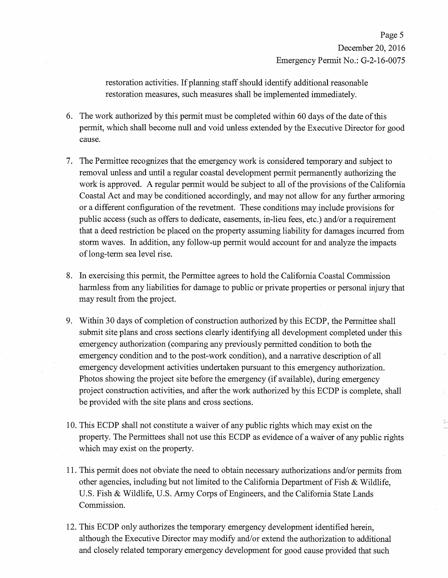restoration activities. If planning staff should identify additional reasonable restoration measures, such measures shall be implemented immediately.

- 6. The work authorized by this permit must be completed within 60 days of the date of this permit, which shall become null and void unless extended by the Executive Director for good cause.
- 7. The Permittee recognizes that the emergency work is considered temporary and subject to removal unless and until a regular coastal development permit permanently authorizing the work is approved. A regular permit would be subject to all of the provisions of the California Coastal Act and may be conditioned accordingly, and may not allow for any further armoring or a different configuration of the revetment. These conditions may include provisions for public access (such as offers to dedicate, easements, in-lieu fees, etc.) and/or a requirement that a deed restriction be placed on the property assuming liability for damages incurred from storm waves. In addition, any follow-up permit would account for and analyze the impacts of long-term sea level rise.
- 8. In exercising this permit, the Permittee agrees to hold the California Coastal Commission harmless from any liabilities for damage to public or private properties or personal injury that may result from the project.
- 9. Within 30 days of completion of construction authorized by this ECDP, the Permittee shall submit site plans and cross sections clearly identifying all development completed under this emergency authorization (comparing any previously permitted condition to both the emergency condition and to the post-work condition), and a narrative description of all emergency development activities undertaken pursuant to this emergency authorization. Photos showing the project site before the emergency (if available), during emergency project construction activities, and after the work authorized by this ECDP is complete, shall be provided with the site plans and cross sections.
- 10. This ECDP shall not constitute a waiver of any public rights which may exist on the property. The Permittees shall not use this ECDP as evidence of a waiver of any public rights which may exist on the property.
- 11. This permit does not obviate the need to obtain necessary authorizations and/or permits from other agencies, including but not limited to the California Department of Fish & Wildlife, U.S. Fish & Wildlife, U.S. Army Corps of Engineers, and the California State Lands Commission.
- 12. This ECDP only authorizes the temporary emergency development identified herein, although the Executive Director may modify and/or extend the authorization to additional and closely related temporary emergency development for good cause provided that such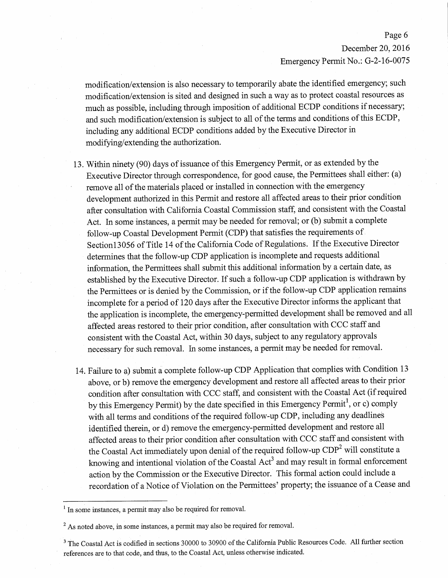## Page 6 December 20, 2016 Emergency Permit No.: G-2-16-0075

modification/extension is also necessary to temporarily abate the identified emergency; such modification/extension is sited and designed in such a way as to protect coastal resources as much as possible, including through imposition of additional ECDP conditions if necessary; and such modification/extension is subject to all of the terms and conditions of this ECDP, including any additional ECDP conditions added by the Executive Director in modifying/extending the authorization.

- 13. Within ninety (90) days of issuance of this Emergency Permit, or as extended by the Executive Director through correspondence, for good cause, the Permittees shall either: (a) remove all of the materials placed or installed in connection with the emergency development authorized in this Permit and restore all affected areas to their prior condition after consultation with California Coastal Commission staff, and consistent with the Coastal Act. In some instances, a permit may be needed for removal; or (b) submit a complete follow-up Coastal Development Permit (CDP) that satisfies the requirements of Section 13056 of Title 14 of the California Code of Regulations. If the Executive Director determines that the follow-up CDP application is incomplete and requests additional information, the Permittees shall submit this additional information by a certain date, as established by the Executive Director. If such a follow-up CDP application is withdrawn by the Permittees or is denied by the Commission, or if the follow-up CDP application remains incomplete for a period of 120 days after the Executive Director informs the applicant that the application is incomplete, the emergency-permitted development shall be removed and all affected areas restored to their prior condition, after consultation with CCC staff and consistent with the Coastal Act, within 30 days, subject to any regulatory approvals necessary for such removal. In some instances, a permit may be needed for removal.
- 14. Failure to a) submit a complete follow-up CDP Application that complies with Condition 13 above, or b) remove the emergency development and restore all affected areas to their prior condition after consultation with CCC staff, and consistent with the Coastal Act (if required by this Emergency Permit) by the date specified in this Emergency Permit<sup>1</sup>, or c) comply with all terms and conditions of the required follow-up CDP, including any deadlines identified therein, or d) remove the emergency-permitted development and restore all affected areas to their prior condition after consultation with CCC staff and consistent with the Coastal Act immediately upon denial of the required follow-up CDP<sup>2</sup> will constitute a knowing and intentional violation of the Coastal Act<sup>3</sup> and may result in formal enforcement action by the Commission or the Executive Director. This formal action could include a recordation of a Notice of Violation on the Permittees' property; the issuance of a Cease and

 $<sup>1</sup>$  In some instances, a permit may also be required for removal.</sup>

 $2\text{ As noted above, in some instances, a permit may also be required for removal.}$ 

<sup>&</sup>lt;sup>3</sup> The Coastal Act is codified in sections 30000 to 30900 of the California Public Resources Code. All further section references are to that code, and thus, to the Coastal Act, unless otherwise indicated.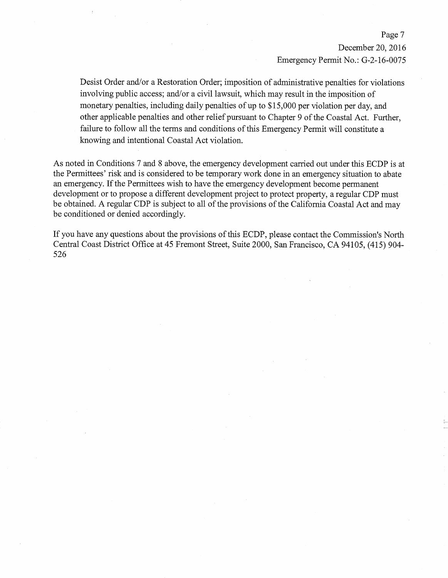Page 7 December 20, 2016 Emergency Permit No.: G-2-16-0075

Desist Order and/or a Restoration Order; imposition of administrative penalties for violations involving public access; and/or a civil lawsuit, which may result in the imposition of monetary penalties, including daily penalties of up to \$15,000 per violation per day, and other applicable penalties and other relief pursuant to Chapter 9 of the Coastal Act. Further, failure to follow all the terms and conditions of this Emergency Permit will constitute a knowing and intentional Coastal Act violation.

As noted in Conditions 7 and 8 above, the emergency development carried out under this ECDP is at the Permittees' risk and is considered to be temporary work done in an emergency situation to abate an emergency. If the Permittees wish to have the emergency development become permanent development or to propose a different development project to protect property, a regular CDP must be obtained. A regular CDP is subject to all of the provisions of the California Coastal Act and may be conditioned or denied accordingly.

If you have any questions about the provisions of this ECDP, please contact the Commission's North Central Coast District Office at 45 Fremont Street, Suite 2000, San Francisco, CA 94105, (415) 904-526